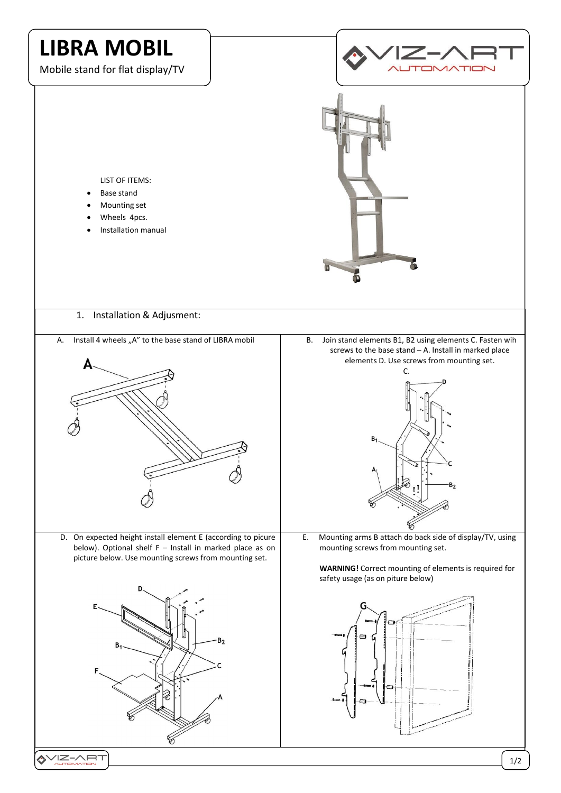